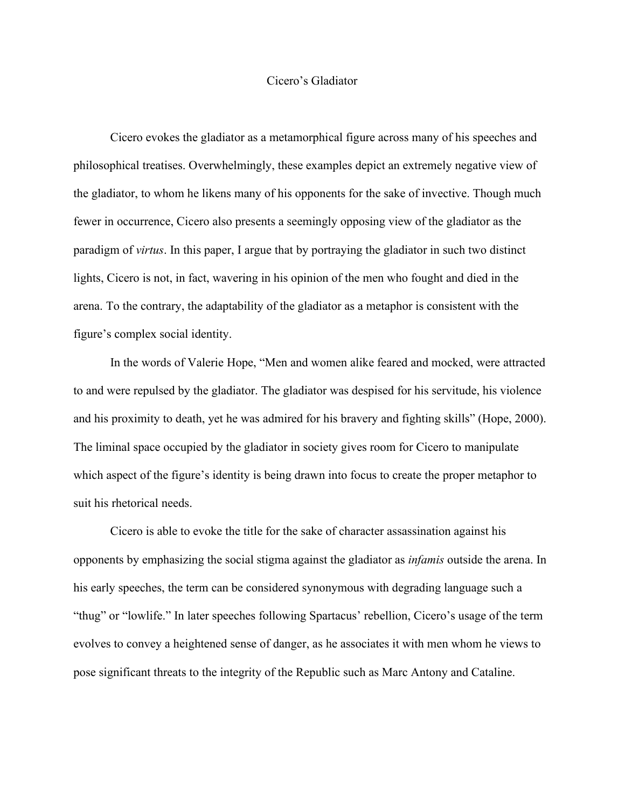## Cicero's Gladiator

Cicero evokes the gladiator as a metamorphical figure across many of his speeches and philosophical treatises. Overwhelmingly, these examples depict an extremely negative view of the gladiator, to whom he likens many of his opponents for the sake of invective. Though much fewer in occurrence, Cicero also presents a seemingly opposing view of the gladiator as the paradigm of *virtus*. In this paper, I argue that by portraying the gladiator in such two distinct lights, Cicero is not, in fact, wavering in his opinion of the men who fought and died in the arena. To the contrary, the adaptability of the gladiator as a metaphor is consistent with the figure's complex social identity.

In the words of Valerie Hope, "Men and women alike feared and mocked, were attracted to and were repulsed by the gladiator. The gladiator was despised for his servitude, his violence and his proximity to death, yet he was admired for his bravery and fighting skills" (Hope, 2000). The liminal space occupied by the gladiator in society gives room for Cicero to manipulate which aspect of the figure's identity is being drawn into focus to create the proper metaphor to suit his rhetorical needs.

Cicero is able to evoke the title for the sake of character assassination against his opponents by emphasizing the social stigma against the gladiator as *infamis* outside the arena. In his early speeches, the term can be considered synonymous with degrading language such a "thug" or "lowlife." In later speeches following Spartacus' rebellion, Cicero's usage of the term evolves to convey a heightened sense of danger, as he associates it with men whom he views to pose significant threats to the integrity of the Republic such as Marc Antony and Cataline.